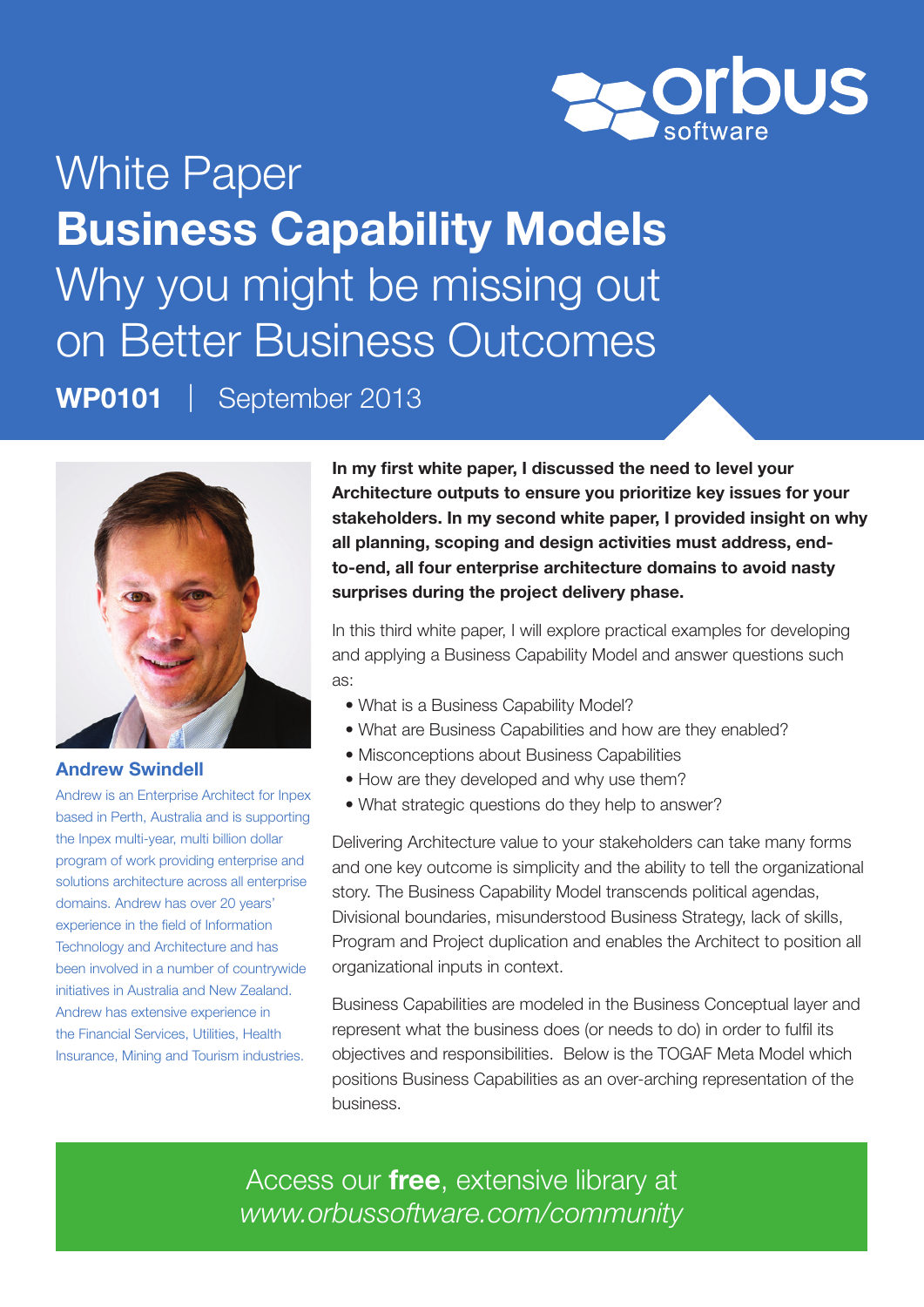

White Paper Business Capability Models Why you might be missing out on Better Business Outcomes WP0101 | September 2013



### Andrew Swindell

Andrew is an Enterprise Architect for Inpex based in Perth, Australia and is supporting the Inpex multi-year, multi billion dollar program of work providing enterprise and solutions architecture across all enterprise domains. Andrew has over 20 years' experience in the field of Information Technology and Architecture and has been involved in a number of countrywide initiatives in Australia and New Zealand. Andrew has extensive experience in the Financial Services, Utilities, Health Insurance, Mining and Tourism industries.

In my first white paper, I discussed the need to level your Architecture outputs to ensure you prioritize key issues for your stakeholders. In my second white paper, I provided insight on why all planning, scoping and design activities must address, endto-end, all four enterprise architecture domains to avoid nasty surprises during the project delivery phase.

In this third white paper, I will explore practical examples for developing and applying a Business Capability Model and answer questions such as:

- What is a Business Capability Model?
- What are Business Capabilities and how are they enabled?
- Misconceptions about Business Capabilities
- How are they developed and why use them?
- What strategic questions do they help to answer?

Delivering Architecture value to your stakeholders can take many forms and one key outcome is simplicity and the ability to tell the organizational story. The Business Capability Model transcends political agendas, Divisional boundaries, misunderstood Business Strategy, lack of skills, Program and Project duplication and enables the Architect to position all organizational inputs in context.

Business Capabilities are modeled in the Business Conceptual layer and represent what the business does (or needs to do) in order to fulfil its objectives and responsibilities. Below is the TOGAF Meta Model which positions Business Capabilities as an over-arching representation of the business.

Access our free, extensive library at *www.orbussoftware.com/community*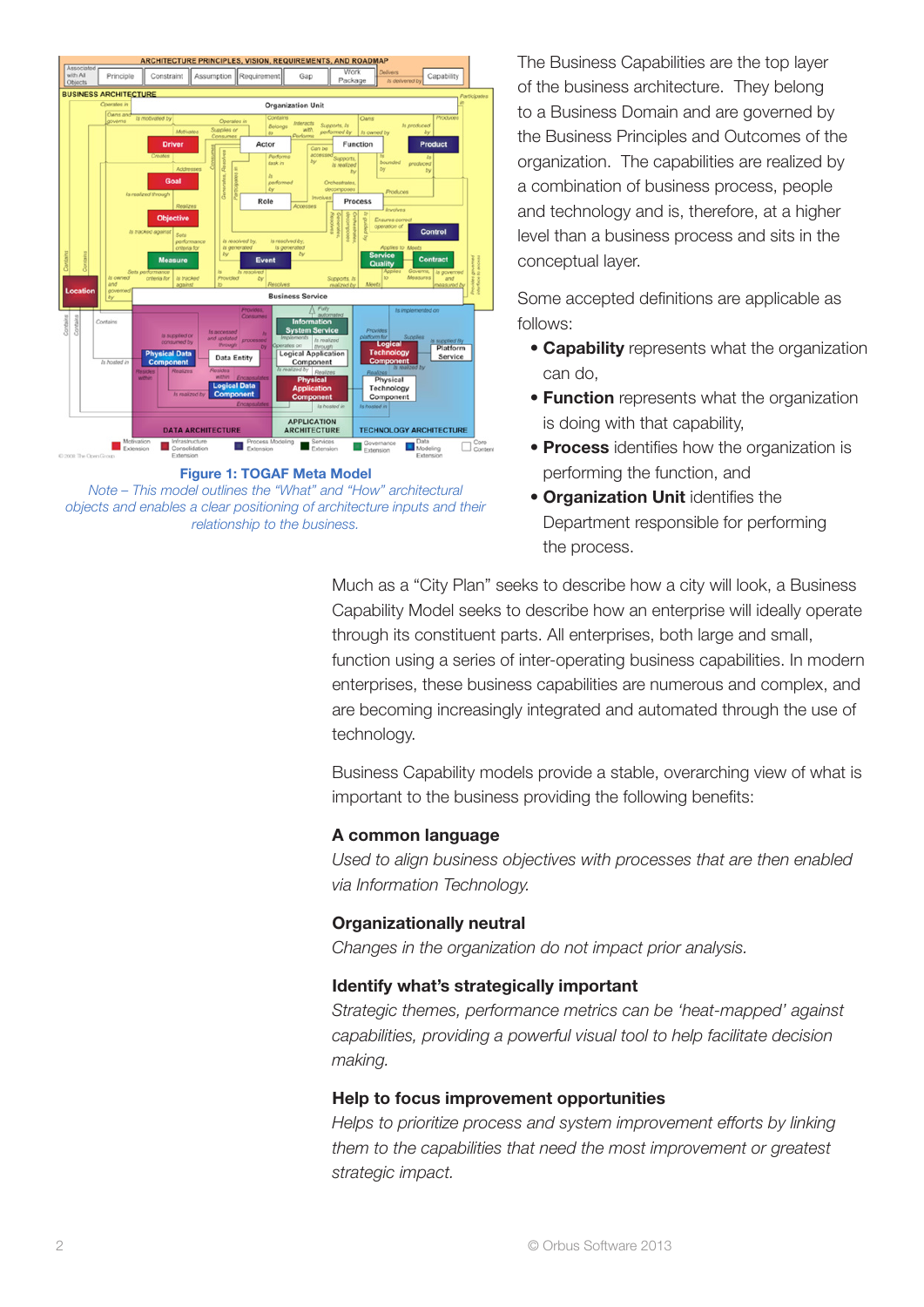

Figure 1: TOGAF Meta Model *Note – This model outlines the "What" and "How" architectural* 

*objects and enables a clear positioning of architecture inputs and their relationship to the business.* 

The Business Capabilities are the top layer of the business architecture. They belong to a Business Domain and are governed by the Business Principles and Outcomes of the organization. The capabilities are realized by a combination of business process, people and technology and is, therefore, at a higher level than a business process and sits in the conceptual layer.

Some accepted definitions are applicable as follows:

- Capability represents what the organization can do,
- **Function** represents what the organization is doing with that capability,
- Process identifies how the organization is performing the function, and
- Organization Unit identifies the Department responsible for performing the process.

Much as a "City Plan" seeks to describe how a city will look, a Business Capability Model seeks to describe how an enterprise will ideally operate through its constituent parts. All enterprises, both large and small, function using a series of inter-operating business capabilities. In modern enterprises, these business capabilities are numerous and complex, and are becoming increasingly integrated and automated through the use of technology.

Business Capability models provide a stable, overarching view of what is important to the business providing the following benefits:

### A common language

*Used to align business objectives with processes that are then enabled via Information Technology.*

## Organizationally neutral

*Changes in the organization do not impact prior analysis.*

## Identify what's strategically important

*Strategic themes, performance metrics can be 'heat-mapped' against capabilities, providing a powerful visual tool to help facilitate decision making.*

## Help to focus improvement opportunities

*Helps to prioritize process and system improvement efforts by linking them to the capabilities that need the most improvement or greatest strategic impact.*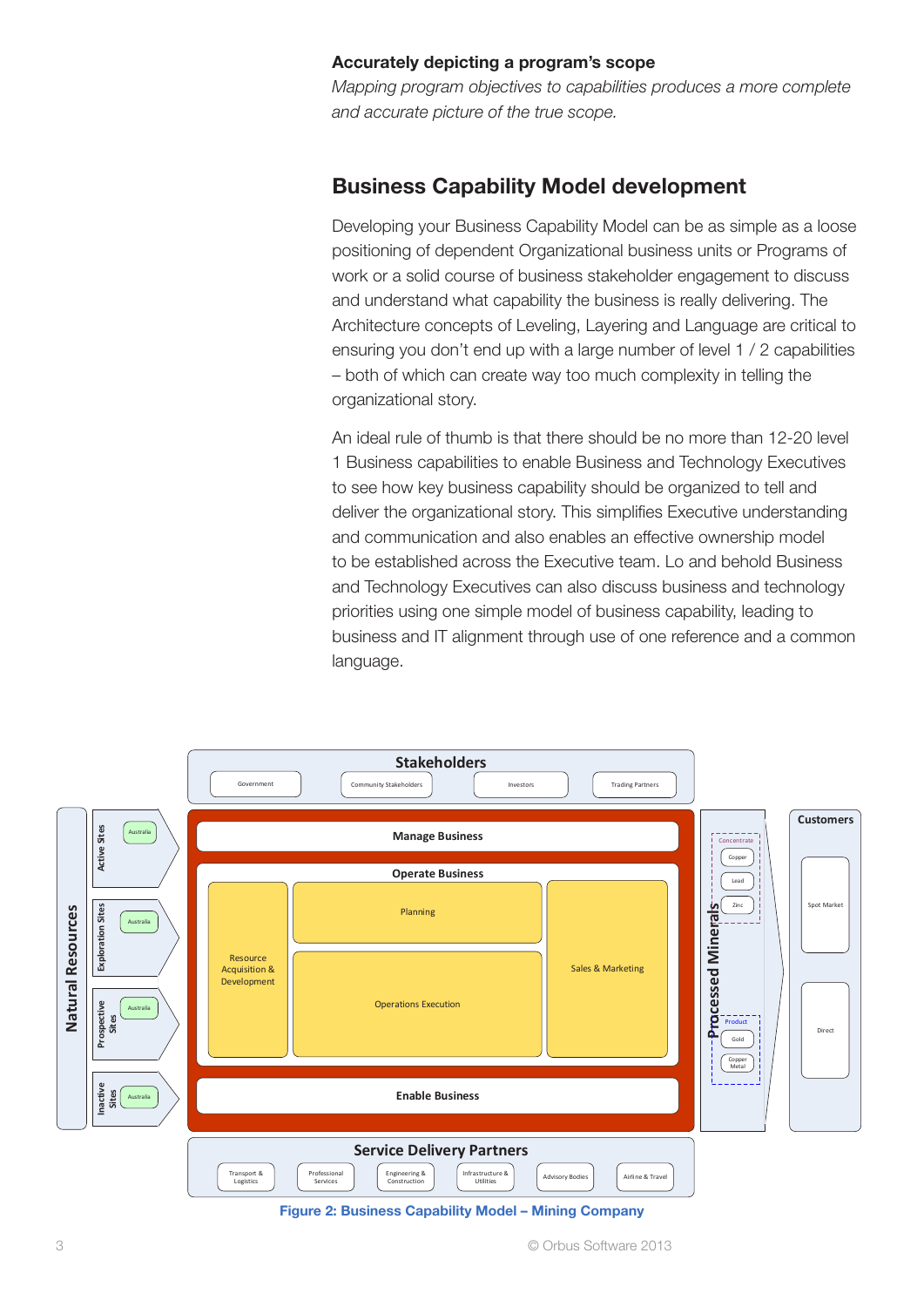### Accurately depicting a program's scope

*Mapping program objectives to capabilities produces a more complete and accurate picture of the true scope.*

# Business Capability Model development

Developing your Business Capability Model can be as simple as a loose positioning of dependent Organizational business units or Programs of work or a solid course of business stakeholder engagement to discuss and understand what capability the business is really delivering. The Architecture concepts of Leveling, Layering and Language are critical to ensuring you don't end up with a large number of level 1 / 2 capabilities – both of which can create way too much complexity in telling the organizational story.

An ideal rule of thumb is that there should be no more than 12-20 level 1 Business capabilities to enable Business and Technology Executives to see how key business capability should be organized to tell and deliver the organizational story. This simplifies Executive understanding and communication and also enables an effective ownership model to be established across the Executive team. Lo and behold Business and Technology Executives can also discuss business and technology priorities using one simple model of business capability, leading to business and IT alignment through use of one reference and a common language.



Figure 2: Business Capability Model – Mining Company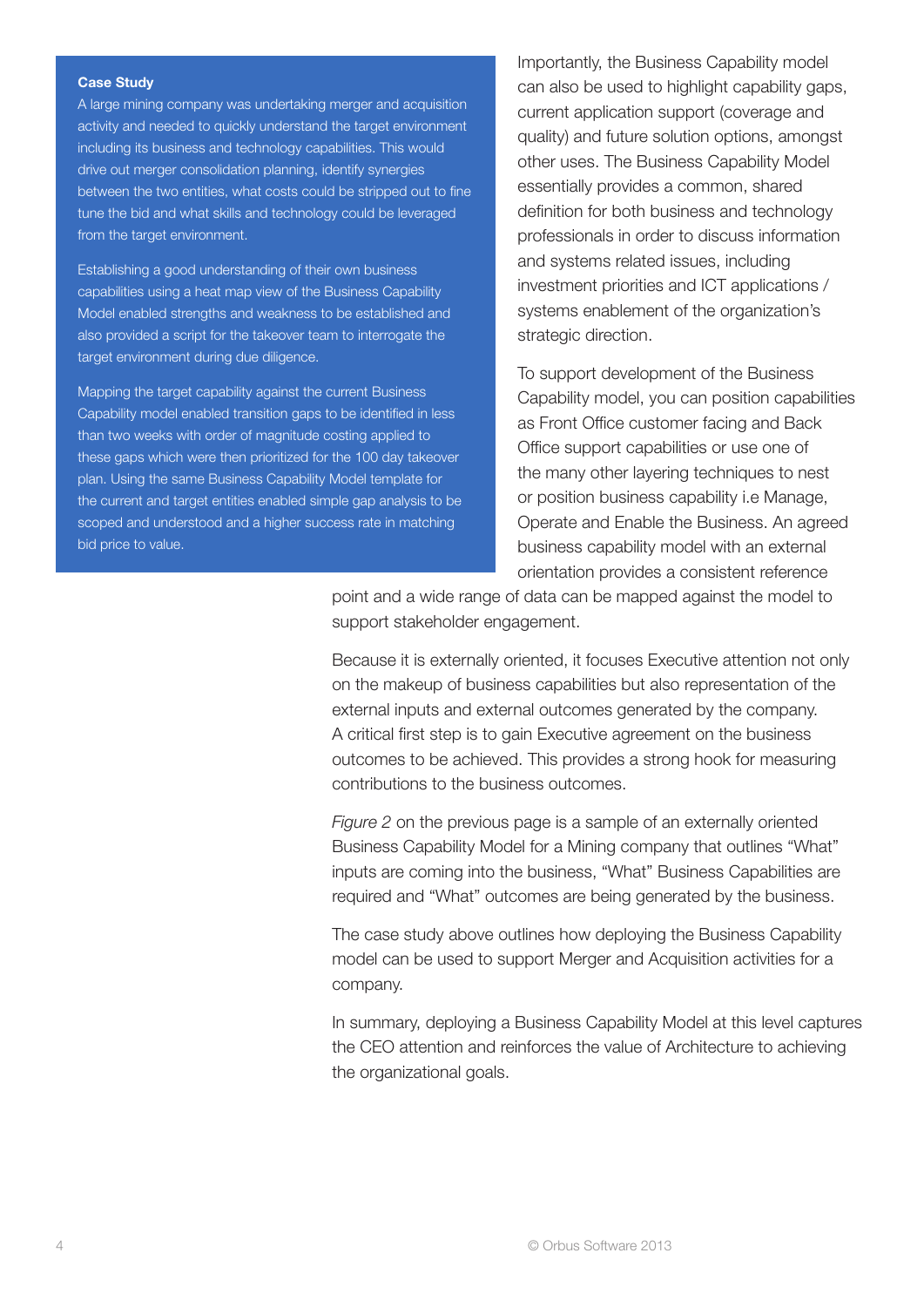#### Case Study

A large mining company was undertaking merger and acquisition activity and needed to quickly understand the target environment including its business and technology capabilities. This would drive out merger consolidation planning, identify synergies between the two entities, what costs could be stripped out to fine tune the bid and what skills and technology could be leveraged from the target environment.

Establishing a good understanding of their own business capabilities using a heat map view of the Business Capability Model enabled strengths and weakness to be established and also provided a script for the takeover team to interrogate the target environment during due diligence.

Mapping the target capability against the current Business Capability model enabled transition gaps to be identified in less than two weeks with order of magnitude costing applied to these gaps which were then prioritized for the 100 day takeover plan. Using the same Business Capability Model template for the current and target entities enabled simple gap analysis to be scoped and understood and a higher success rate in matching bid price to value.

Importantly, the Business Capability model can also be used to highlight capability gaps, current application support (coverage and quality) and future solution options, amongst other uses. The Business Capability Model essentially provides a common, shared definition for both business and technology professionals in order to discuss information and systems related issues, including investment priorities and ICT applications / systems enablement of the organization's strategic direction.

To support development of the Business Capability model, you can position capabilities as Front Office customer facing and Back Office support capabilities or use one of the many other layering techniques to nest or position business capability i.e Manage, Operate and Enable the Business. An agreed business capability model with an external orientation provides a consistent reference

point and a wide range of data can be mapped against the model to support stakeholder engagement.

Because it is externally oriented, it focuses Executive attention not only on the makeup of business capabilities but also representation of the external inputs and external outcomes generated by the company. A critical first step is to gain Executive agreement on the business outcomes to be achieved. This provides a strong hook for measuring contributions to the business outcomes.

*Figure 2* on the previous page is a sample of an externally oriented Business Capability Model for a Mining company that outlines "What" inputs are coming into the business, "What" Business Capabilities are required and "What" outcomes are being generated by the business.

The case study above outlines how deploying the Business Capability model can be used to support Merger and Acquisition activities for a company.

In summary, deploying a Business Capability Model at this level captures the CEO attention and reinforces the value of Architecture to achieving the organizational goals.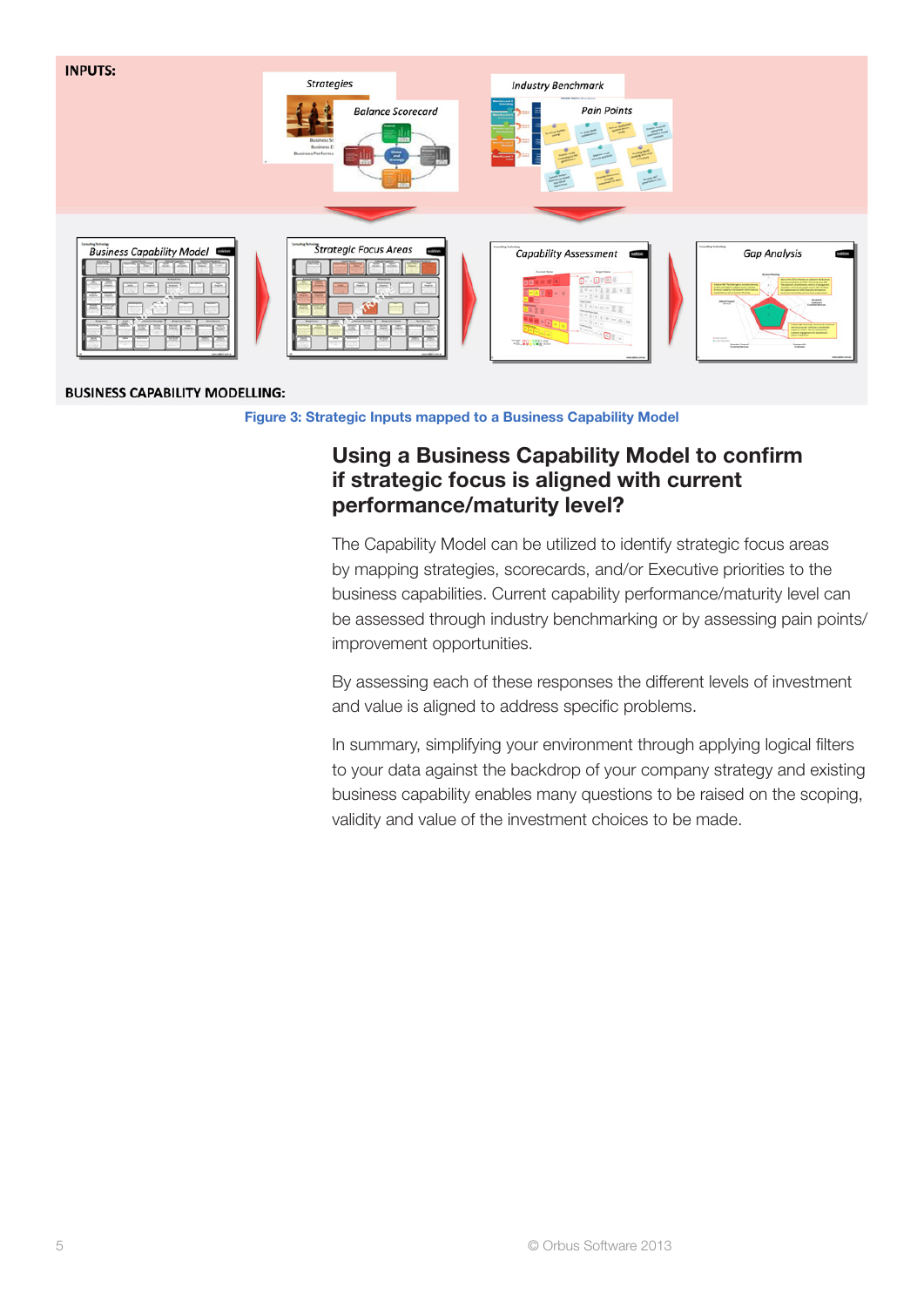

#### **BUSINESS CAPABILITY MODELLING:**

#### Figure 3: Strategic Inputs mapped to a Business Capability Model

### Using a Business Capability Model to confirm if strategic focus is aligned with current performance/maturity level?

The Capability Model can be utilized to identify strategic focus areas by mapping strategies, scorecards, and/or Executive priorities to the business capabilities. Current capability performance/maturity level can be assessed through industry benchmarking or by assessing pain points/ improvement opportunities.

By assessing each of these responses the different levels of investment and value is aligned to address specific problems.

In summary, simplifying your environment through applying logical filters to your data against the backdrop of your company strategy and existing business capability enables many questions to be raised on the scoping, validity and value of the investment choices to be made.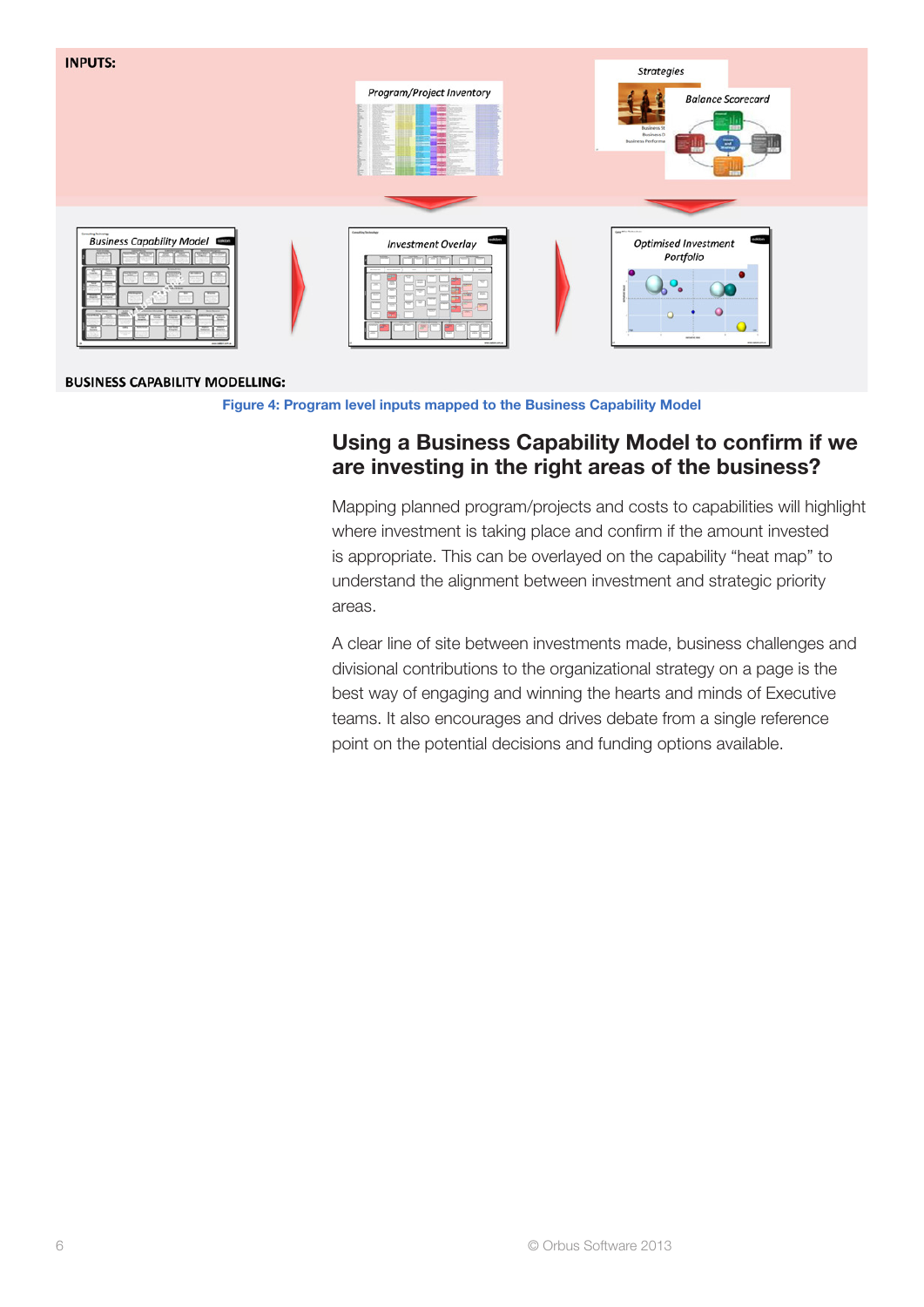

#### **BUSINESS CAPABILITY MODELLING:**

Figure 4: Program level inputs mapped to the Business Capability Model

# Using a Business Capability Model to confirm if we are investing in the right areas of the business?

Mapping planned program/projects and costs to capabilities will highlight where investment is taking place and confirm if the amount invested is appropriate. This can be overlayed on the capability "heat map" to understand the alignment between investment and strategic priority areas.

A clear line of site between investments made, business challenges and divisional contributions to the organizational strategy on a page is the best way of engaging and winning the hearts and minds of Executive teams. It also encourages and drives debate from a single reference point on the potential decisions and funding options available.